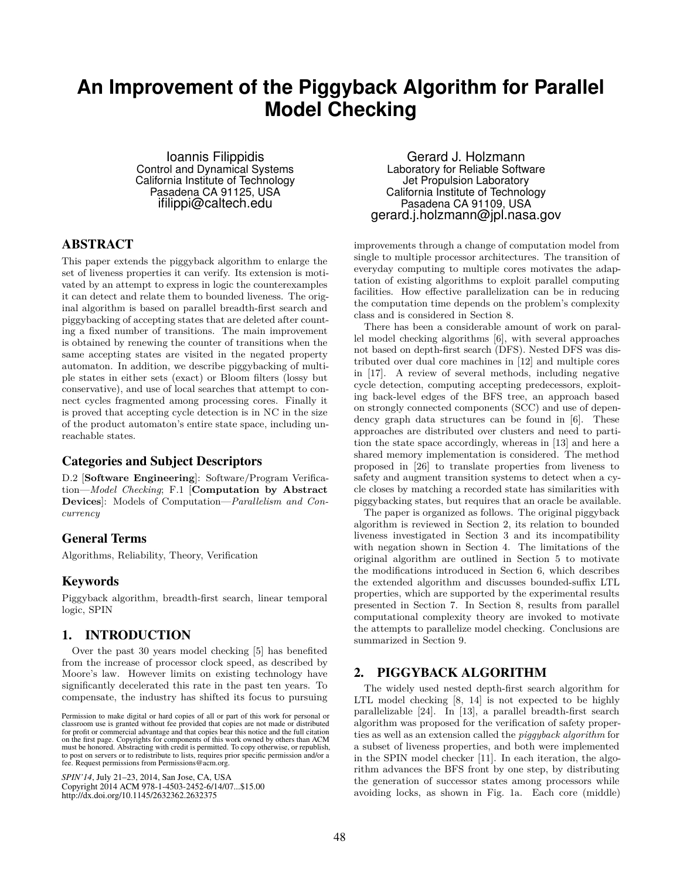# **An Improvement of the Piggyback Algorithm for Parallel Model Checking**

Ioannis Filippidis Control and Dynamical Systems California Institute of Technology Pasadena CA 91125, USA ifilippi@caltech.edu

# ABSTRACT

This paper extends the piggyback algorithm to enlarge the set of liveness properties it can verify. Its extension is motivated by an attempt to express in logic the counterexamples it can detect and relate them to bounded liveness. The original algorithm is based on parallel breadth-first search and piggybacking of accepting states that are deleted after counting a fixed number of transitions. The main improvement is obtained by renewing the counter of transitions when the same accepting states are visited in the negated property automaton. In addition, we describe piggybacking of multiple states in either sets (exact) or Bloom filters (lossy but conservative), and use of local searches that attempt to connect cycles fragmented among processing cores. Finally it is proved that accepting cycle detection is in NC in the size of the product automaton's entire state space, including unreachable states.

# Categories and Subject Descriptors

D.2 [**Software Engineering**]: Software/Program Verification—*Model Checking*; F.1 [**Computation by Abstract Devices**]: Models of Computation—*Parallelism and Concurrency*

# General Terms

Algorithms, Reliability, Theory, Verification

# Keywords

Piggyback algorithm, breadth-first search, linear temporal logic, SPIN

# 1. INTRODUCTION

Over the past 30 years model checking [5] has benefited from the increase of processor clock speed, as described by Moore's law. However limits on existing technology have significantly decelerated this rate in the past ten years. To compensate, the industry has shifted its focus to pursuing

*SPIN'14*, July 21-23, 2014, San Jose, CA, USA Copyright 2014 ACM 978-1-4503-2452-6/14/07...\$15.00 http://dx.doi.org/10.1145/2632362.2632375

Gerard J. Holzmann Laboratory for Reliable Software Jet Propulsion Laboratory California Institute of Technology Pasadena CA 91109, USA gerard.j.holzmann@jpl.nasa.gov

improvements through a change of computation model from single to multiple processor architectures. The transition of everyday computing to multiple cores motivates the adaptation of existing algorithms to exploit parallel computing facilities. How effective parallelization can be in reducing the computation time depends on the problem's complexity class and is considered in Section 8.

There has been a considerable amount of work on parallel model checking algorithms [6], with several approaches not based on depth-first search (DFS). Nested DFS was distributed over dual core machines in [12] and multiple cores in [17]. A review of several methods, including negative cycle detection, computing accepting predecessors, exploiting back-level edges of the BFS tree, an approach based on strongly connected components (SCC) and use of dependency graph data structures can be found in [6]. These approaches are distributed over clusters and need to partition the state space accordingly, whereas in [13] and here a shared memory implementation is considered. The method proposed in [26] to translate properties from liveness to safety and augment transition systems to detect when a cycle closes by matching a recorded state has similarities with piggybacking states, but requires that an oracle be available.

The paper is organized as follows. The original piggyback algorithm is reviewed in Section 2, its relation to bounded liveness investigated in Section 3 and its incompatibility with negation shown in Section 4. The limitations of the original algorithm are outlined in Section 5 to motivate the modifications introduced in Section 6, which describes the extended algorithm and discusses bounded-suffix LTL properties, which are supported by the experimental results presented in Section 7. In Section 8, results from parallel computational complexity theory are invoked to motivate the attempts to parallelize model checking. Conclusions are summarized in Section 9.

# 2. PIGGYBACK ALGORITHM

The widely used nested depth-first search algorithm for LTL model checking [8, 14] is not expected to be highly parallelizable [24]. In [13], a parallel breadth-first search algorithm was proposed for the verification of safety properties as well as an extension called the *piggyback algorithm* for a subset of liveness properties, and both were implemented in the SPIN model checker [11]. In each iteration, the algorithm advances the BFS front by one step, by distributing the generation of successor states among processors while avoiding locks, as shown in Fig. 1a. Each core (middle)

classroom use is granted without fee provided that copies are not made or distributed<br>for an fit to communical advantage and that copies has this patient and the full distinct for profit or commercial advantage and that copies bear this notice and the furt chattor<br>on the first page. Convirights for components of this work owned by others than ACM on the first page. Copyrights for components of this work owned by others than ACM<br>must be honored. Abstracting with credit is permitted. To copy otherwise, or republish, to post on servers or to redistribute to lists, requires prior specific permission and/or a fee. Request permissions from Permissions@acm.org. Permission to make digital or hard copies of all or part of this work for personal or for profit or commercial advantage and that copies bear this notice and the full citation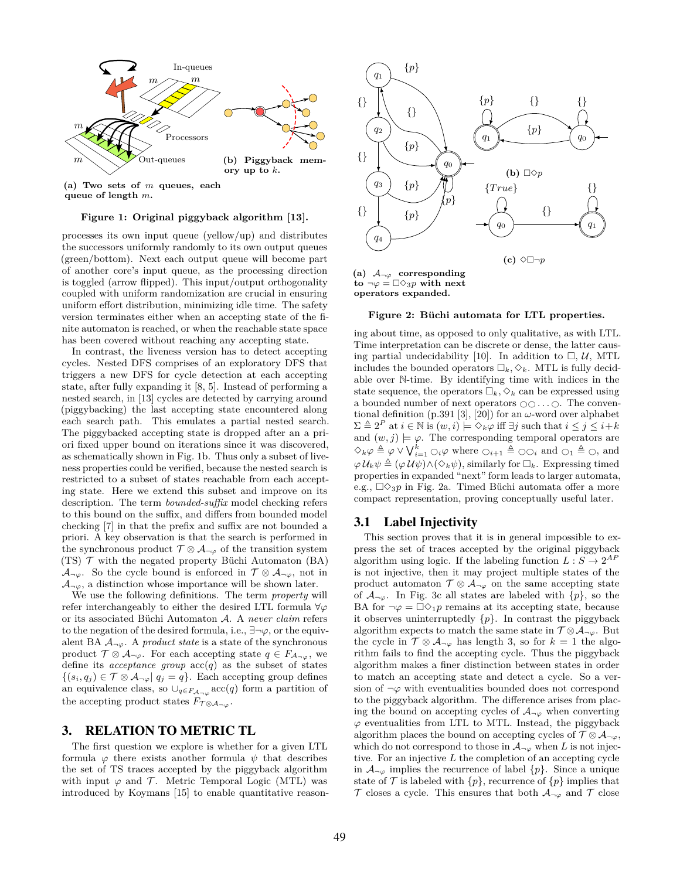

**(a) Two sets of** *m* **queues, each queue of length** *m***.**

#### **Figure 1: Original piggyback algorithm [13].**

processes its own input queue (yellow/up) and distributes the successors uniformly randomly to its own output queues (green/bottom). Next each output queue will become part of another core's input queue, as the processing direction is toggled (arrow flipped). This input/output orthogonality coupled with uniform randomization are crucial in ensuring uniform effort distribution, minimizing idle time. The safety version terminates either when an accepting state of the finite automaton is reached, or when the reachable state space has been covered without reaching any accepting state.

In contrast, the liveness version has to detect accepting cycles. Nested DFS comprises of an exploratory DFS that triggers a new DFS for cycle detection at each accepting state, after fully expanding it [8, 5]. Instead of performing a nested search, in [13] cycles are detected by carrying around (piggybacking) the last accepting state encountered along each search path. This emulates a partial nested search. The piggybacked accepting state is dropped after an a priori fixed upper bound on iterations since it was discovered, as schematically shown in Fig. 1b. Thus only a subset of liveness properties could be verified, because the nested search is restricted to a subset of states reachable from each accepting state. Here we extend this subset and improve on its description. The term *bounded-suffix* model checking refers to this bound on the suffix, and differs from bounded model checking [7] in that the prefix and suffix are not bounded a priori. A key observation is that the search is performed in the synchronous product  $\mathcal{T} \otimes \mathcal{A}_{\neg \varphi}$  of the transition system (TS) *T* with the negated property Büchi Automaton (BA) *A*<sub>*¬* $\varphi$ . So the cycle bound is enforced in  $\mathcal{T} \otimes \mathcal{A}_{\neg \varphi}$ , not in</sub>  $A_{\neg \varphi}$ , a distinction whose importance will be shown later.

We use the following definitions. The term *property* will refer interchangeably to either the desired LTL formula *∀φ* or its associated Büchi Automaton *A*. A *never claim* refers to the negation of the desired formula, i.e., *∃¬φ*, or the equivalent BA  $A_{\neg \varphi}$ . A *product state* is a state of the synchronous product  $\mathcal{T} \otimes \mathcal{A}_{\neg \varphi}$ . For each accepting state  $q \in F_{\mathcal{A}_{\neg \varphi}}$ , we define its *acceptance group*  $\mathrm{acc}(q)$  as the subset of states  ${(s_i, q_j) \in T ⊗ A<sub>¬</sub>ϕ | q_j = q}.$  Each accepting group defines an equivalence class, so  $\bigcup_{q \in F_{\mathcal{A}}\neg \varphi} \text{acc}(q)$  form a partition of the accepting product states  $F_{\tau \otimes A_{\neg \varphi}}$ .

#### 3. RELATION TO METRIC TL

The first question we explore is whether for a given LTL formula  $\varphi$  there exists another formula  $\psi$  that describes the set of TS traces accepted by the piggyback algorithm with input  $\varphi$  and  $\mathcal{T}$ . Metric Temporal Logic (MTL) was introduced by Koymans [15] to enable quantitative reason-



**operators expanded.**

#### **Figure 2: Büchi automata for LTL properties.**

ing about time, as opposed to only qualitative, as with LTL. Time interpretation can be discrete or dense, the latter causing partial undecidability [10]. In addition to  $\Box$ ,  $\mathcal{U}$ , MTL includes the bounded operators  $\square_k, \diamondsuit_k$ . MTL is fully decidable over N-time. By identifying time with indices in the state sequence, the operators  $\Box_k$ ,  $\Diamond_k$  can be expressed using a bounded number of next operators  $\bigcirc \bigcirc \ldots \bigcirc$ . The conventional definition  $(p.391 \, [3], [20])$  for an  $\omega$ -word over alphabet  $\Sigma \triangleq 2^P$  at  $i \in \mathbb{N}$  is  $(w, i) \models \Diamond_k \varphi$  iff  $\exists j$  such that  $i \leq j \leq i+k$ and  $(w, j) \models \varphi$ . The corresponding temporal operators are  $\Diamond_k \varphi \triangleq \varphi \vee \bigvee_{i=1}^k \bigcirc_{i \neq j} \varphi$  where  $\bigcirc_{i+1} \triangleq \bigcirc \bigcirc_i$  and  $\bigcirc_1 \triangleq \bigcirc$ , and  $\varphi \mathcal{U}_k \psi \triangleq (\varphi \mathcal{U} \psi) \wedge (\Diamond_k \psi)$ , similarly for  $\Box_k$ . Expressing timed properties in expanded "next" form leads to larger automata, e.g.,  $\square \Diamond_3 p$  in Fig. 2a. Timed Büchi automata offer a more compact representation, proving conceptually useful later.

## 3.1 Label Injectivity

This section proves that it is in general impossible to express the set of traces accepted by the original piggyback algorithm using logic. If the labeling function  $L: S \to 2^{AF}$ is not injective, then it may project multiple states of the product automaton  $\mathcal{T} \otimes \mathcal{A}_{\neg \varphi}$  on the same accepting state of  $A_{\neg \varphi}$ . In Fig. 3c all states are labeled with  $\{p\}$ , so the BA for  $\neg \varphi = \Box \Diamond_1 p$  remains at its accepting state, because it observes uninterruptedly *{p}*. In contrast the piggyback algorithm expects to match the same state in  $\mathcal{T} \otimes \mathcal{A}_{\neg \varphi}$ . But the cycle in  $\mathcal{T} \otimes \mathcal{A}_{\neg \varphi}$  has length 3, so for  $k = 1$  the algorithm fails to find the accepting cycle. Thus the piggyback algorithm makes a finer distinction between states in order to match an accepting state and detect a cycle. So a version of  $\neg \varphi$  with eventualities bounded does not correspond to the piggyback algorithm. The difference arises from placing the bound on accepting cycles of  $A_{\neg \varphi}$  when converting *φ* eventualities from LTL to MTL. Instead, the piggyback algorithm places the bound on accepting cycles of  $\mathcal{T} \otimes \mathcal{A}_{\neg \varphi}$ , which do not correspond to those in  $\mathcal{A}_{\neg \varphi}$  when *L* is not injective. For an injective *L* the completion of an accepting cycle in  $A_{\neg \varphi}$  implies the recurrence of label  $\{p\}$ . Since a unique state of  $\mathcal{T}$  is labeled with  $\{p\}$ , recurrence of  $\{p\}$  implies that  $\mathcal{T}$  closes a cycle. This ensures that both  $\mathcal{A}_{\neg \varphi}$  and  $\mathcal{T}$  close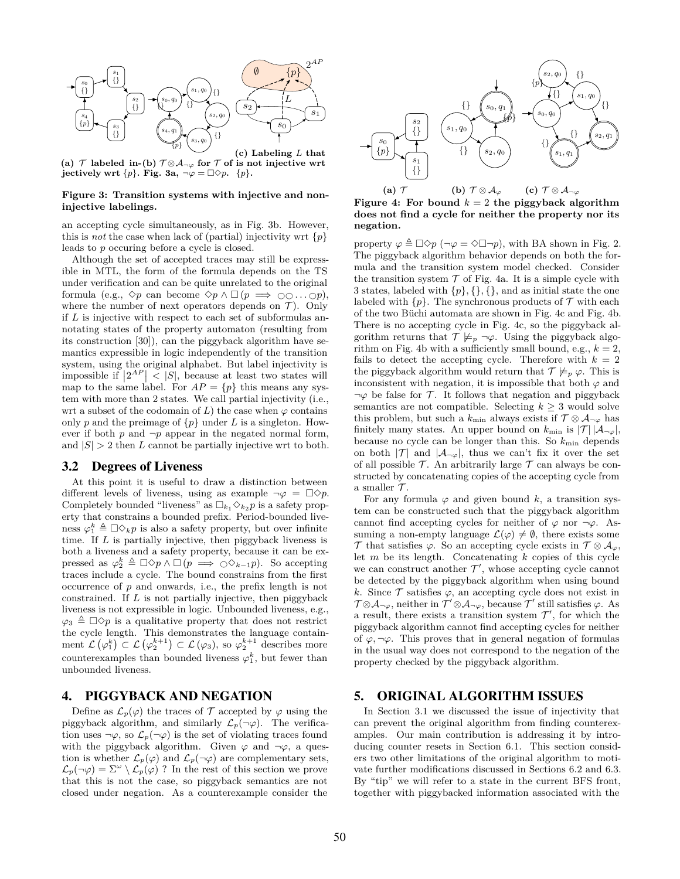

**(a)**  $\tau$  **labeled in-(b)**  $\tau$ ⊗ $\mathcal{A}_{\neg \varphi}$  for  $\tau$  of is not injective wrt **jectively wrt**  $\{p\}$ **. Fig.** 3a,  $\neg \varphi = \Box \Diamond p$ .  $\{p\}$ **.** 

#### **Figure 3: Transition systems with injective and noninjective labelings.**

an accepting cycle simultaneously, as in Fig. 3b. However, this is *not* the case when lack of (partial) injectivity wrt  $\{p\}$ leads to *p* occuring before a cycle is closed.

Although the set of accepted traces may still be expressible in MTL, the form of the formula depends on the TS under verification and can be quite unrelated to the original formula (e.g.,  $\diamond p$  can become  $\diamond p \land \Box (p \implies \bigcirc \bigcirc \ldots \bigcirc p)$ ), where the number of next operators depends on  $\mathcal{T}$ ). Only if *L* is injective with respect to each set of subformulas annotating states of the property automaton (resulting from its construction [30]), can the piggyback algorithm have semantics expressible in logic independently of the transition system, using the original alphabet. But label injectivity is impossible if  $|2^{AP}|$  < |S|, because at least two states will map to the same label. For  $AP = \{p\}$  this means any system with more than 2 states. We call partial injectivity (i.e., wrt a subset of the codomain of  $L$ ) the case when  $\varphi$  contains only *p* and the preimage of  $\{p\}$  under *L* is a singleton. However if both  $p$  and  $\neg p$  appear in the negated normal form, and  $|S| > 2$  then *L* cannot be partially injective wrt to both.

## 3.2 Degrees of Liveness

At this point it is useful to draw a distinction between different levels of liveness, using as example  $\neg \varphi = \Box \Diamond p$ . Completely bounded "liveness" as  $\square_{k_1} \diamond_{k_2} p$  is a safety property that constrains a bounded prefix. Period-bounded liveness  $\varphi_1^k \triangleq \Box \Diamond_k p$  is also a safety property, but over infinite time. If *L* is partially injective, then piggyback liveness is both a liveness and a safety property, because it can be expressed as  $\varphi_2^k \triangleq \Box \Diamond p \land \Box (p \implies \bigcirc \Diamond_{k-1} p)$ . So accepting traces include a cycle. The bound constrains from the first occurrence of *p* and onwards, i.e., the prefix length is not constrained. If *L* is not partially injective, then piggyback liveness is not expressible in logic. Unbounded liveness, e.g.,  $\varphi_3 \triangleq \Box \Diamond p$  is a qualitative property that does not restrict the cycle length. This demonstrates the language containment  $\mathcal{L}(\varphi_1^k) \subset \mathcal{L}(\varphi_2^{k+1}) \subset \mathcal{L}(\varphi_3)$ , so  $\varphi_2^{k+1}$  describes more counterexamples than bounded liveness  $\varphi_1^k$ , but fewer than unbounded liveness.

## 4. PIGGYBACK AND NEGATION

Define as  $\mathcal{L}_p(\varphi)$  the traces of  $\mathcal T$  accepted by  $\varphi$  using the piggyback algorithm, and similarly  $\mathcal{L}_p(\neg \varphi)$ . The verification uses  $\neg \varphi$ , so  $\mathcal{L}_p(\neg \varphi)$  is the set of violating traces found with the piggyback algorithm. Given  $\varphi$  and  $\neg \varphi$ , a question is whether  $\mathcal{L}_p(\varphi)$  and  $\mathcal{L}_p(\neg \varphi)$  are complementary sets,  $\mathcal{L}_p(\neg \varphi) = \Sigma^\omega \setminus \mathcal{L}_p(\varphi)$ ? In the rest of this section we prove that this is not the case, so piggyback semantics are not closed under negation. As a counterexample consider the



**Figure 4:** For bound  $k = 2$  the piggyback algorithm **does not find a cycle for neither the property nor its negation.**

property  $\varphi \triangleq \Box \Diamond p$  ( $\neg \varphi = \Diamond \Box \neg p$ ), with BA shown in Fig. 2. The piggyback algorithm behavior depends on both the formula and the transition system model checked. Consider the transition system  $T$  of Fig. 4a. It is a simple cycle with 3 states, labeled with *{p}, {}, {}*, and as initial state the one labeled with  $\{p\}$ . The synchronous products of  $\mathcal T$  with each of the two Büchi automata are shown in Fig. 4c and Fig. 4b. There is no accepting cycle in Fig. 4c, so the piggyback algorithm returns that  $\mathcal{T} \not\models_p \neg \varphi$ . Using the piggyback algorithm on Fig. 4b with a sufficiently small bound, e.g.,  $k = 2$ , fails to detect the accepting cycle. Therefore with  $k = 2$ the piggyback algorithm would return that  $\mathcal{T} \not\models_p \varphi$ . This is inconsistent with negation, it is impossible that both  $\varphi$  and  $\neg \varphi$  be false for *T*. It follows that negation and piggyback semantics are not compatible. Selecting  $k \geq 3$  would solve this problem, but such a  $k_{\text{min}}$  always exists if  $\mathcal{T} \otimes \mathcal{A}_{\neg \varphi}$  has finitely many states. An upper bound on  $k_{\min}$  is  $|\mathcal{T}| |\mathcal{A}_{\neg \varphi}|$ , because no cycle can be longer than this. So  $k_{\min}$  depends on both  $|T|$  and  $|A_{\neg \varphi}|$ , thus we can't fix it over the set of all possible  $\mathcal T$ . An arbitrarily large  $\mathcal T$  can always be constructed by concatenating copies of the accepting cycle from a smaller *T* .

For any formula  $\varphi$  and given bound *k*, a transition system can be constructed such that the piggyback algorithm cannot find accepting cycles for neither of  $\varphi$  nor  $\neg \varphi$ . Assuming a non-empty language  $\mathcal{L}(\varphi) \neq \emptyset$ , there exists some *T* that satisfies  $\varphi$ . So an accepting cycle exists in  $\mathcal{T} \otimes \mathcal{A}_{\varphi}$ , let *m* be its length. Concatenating *k* copies of this cycle we can construct another  $\mathcal{T}'$ , whose accepting cycle cannot be detected by the piggyback algorithm when using bound *k*. Since  $\mathcal T$  satisfies  $\varphi$ , an accepting cycle does not exist in  $\mathcal{T} \otimes \mathcal{A}_{\neg \varphi}$ , neither in  $\mathcal{T}' \otimes \mathcal{A}_{\neg \varphi}$ , because  $\mathcal{T}'$  still satisfies  $\varphi$ . As a result, there exists a transition system  $\mathcal{T}'$ , for which the piggyback algorithm cannot find accepting cycles for neither of  $\varphi$ ,  $\neg \varphi$ . This proves that in general negation of formulas in the usual way does not correspond to the negation of the property checked by the piggyback algorithm.

## 5. ORIGINAL ALGORITHM ISSUES

In Section 3.1 we discussed the issue of injectivity that can prevent the original algorithm from finding counterexamples. Our main contribution is addressing it by introducing counter resets in Section 6.1. This section considers two other limitations of the original algorithm to motivate further modifications discussed in Sections 6.2 and 6.3. By "tip" we will refer to a state in the current BFS front, together with piggybacked information associated with the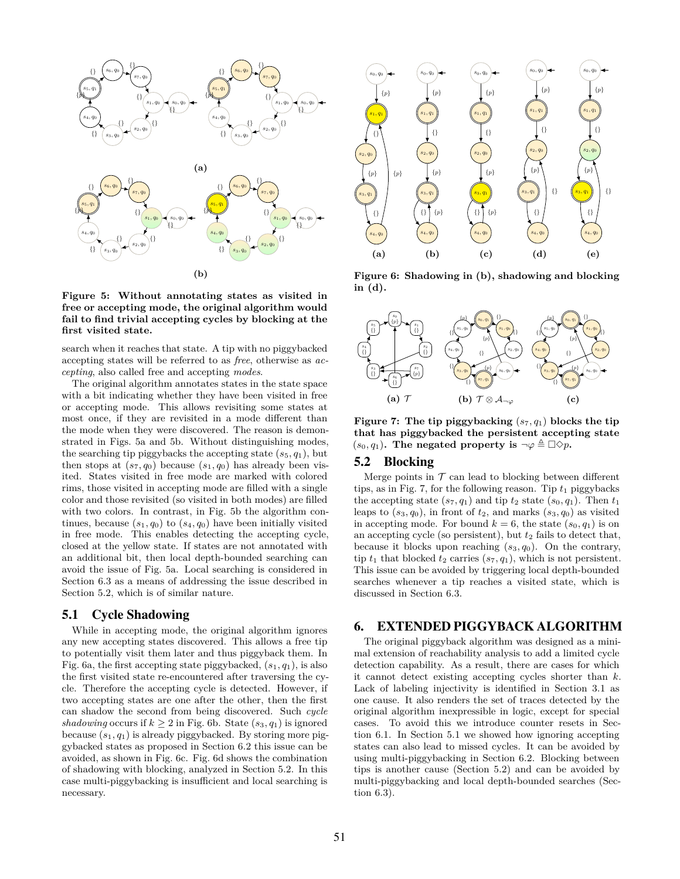

**Figure 5: Without annotating states as visited in free or accepting mode, the original algorithm would fail to find trivial accepting cycles by blocking at the first visited state.**

search when it reaches that state. A tip with no piggybacked accepting states will be referred to as *free*, otherwise as *accepting*, also called free and accepting *modes*.

The original algorithm annotates states in the state space with a bit indicating whether they have been visited in free or accepting mode. This allows revisiting some states at most once, if they are revisited in a mode different than the mode when they were discovered. The reason is demonstrated in Figs. 5a and 5b. Without distinguishing modes, the searching tip piggybacks the accepting state  $(s_5, q_1)$ , but then stops at  $(s_7, q_0)$  because  $(s_1, q_0)$  has already been visited. States visited in free mode are marked with colored rims, those visited in accepting mode are filled with a single color and those revisited (so visited in both modes) are filled with two colors. In contrast, in Fig. 5b the algorithm continues, because  $(s_1, q_0)$  to  $(s_4, q_0)$  have been initially visited in free mode. This enables detecting the accepting cycle, closed at the yellow state. If states are not annotated with an additional bit, then local depth-bounded searching can avoid the issue of Fig. 5a. Local searching is considered in Section 6.3 as a means of addressing the issue described in Section 5.2, which is of similar nature.

## 5.1 Cycle Shadowing

While in accepting mode, the original algorithm ignores any new accepting states discovered. This allows a free tip to potentially visit them later and thus piggyback them. In Fig. 6a, the first accepting state piggybacked,  $(s_1, q_1)$ , is also the first visited state re-encountered after traversing the cycle. Therefore the accepting cycle is detected. However, if two accepting states are one after the other, then the first can shadow the second from being discovered. Such *cycle shadowing* occurs if  $k \geq 2$  in Fig. 6b. State  $(s_3, q_1)$  is ignored because (*s*1*, q*1) is already piggybacked. By storing more piggybacked states as proposed in Section 6.2 this issue can be avoided, as shown in Fig. 6c. Fig. 6d shows the combination of shadowing with blocking, analyzed in Section 5.2. In this case multi-piggybacking is insufficient and local searching is necessary.



**Figure 6: Shadowing in (b), shadowing and blocking in (d).**



**Figure 7: The tip piggybacking** (*s*7*, q*1) **blocks the tip that has piggybacked the persistent accepting state**  $(s_0, q_1)$ . The negated property is  $\neg \varphi \triangleq \Box \Diamond p$ .

#### 5.2 Blocking

Merge points in  $T$  can lead to blocking between different tips, as in Fig. 7, for the following reason. Tip  $t_1$  piggybacks the accepting state  $(s_7, q_1)$  and tip  $t_2$  state  $(s_0, q_1)$ . Then  $t_1$ leaps to  $(s_3, q_0)$ , in front of  $t_2$ , and marks  $(s_3, q_0)$  as visited in accepting mode. For bound  $k = 6$ , the state  $(s_0, q_1)$  is on an accepting cycle (so persistent), but  $t_2$  fails to detect that, because it blocks upon reaching (*s*3*, q*0). On the contrary, tip  $t_1$  that blocked  $t_2$  carries  $(s_7, q_1)$ , which is not persistent. This issue can be avoided by triggering local depth-bounded searches whenever a tip reaches a visited state, which is discussed in Section 6.3.

#### 6. EXTENDED PIGGYBACK ALGORITHM

The original piggyback algorithm was designed as a minimal extension of reachability analysis to add a limited cycle detection capability. As a result, there are cases for which it cannot detect existing accepting cycles shorter than *k*. Lack of labeling injectivity is identified in Section 3.1 as one cause. It also renders the set of traces detected by the original algorithm inexpressible in logic, except for special cases. To avoid this we introduce counter resets in Section 6.1. In Section 5.1 we showed how ignoring accepting states can also lead to missed cycles. It can be avoided by using multi-piggybacking in Section 6.2. Blocking between tips is another cause (Section 5.2) and can be avoided by multi-piggybacking and local depth-bounded searches (Section 6.3).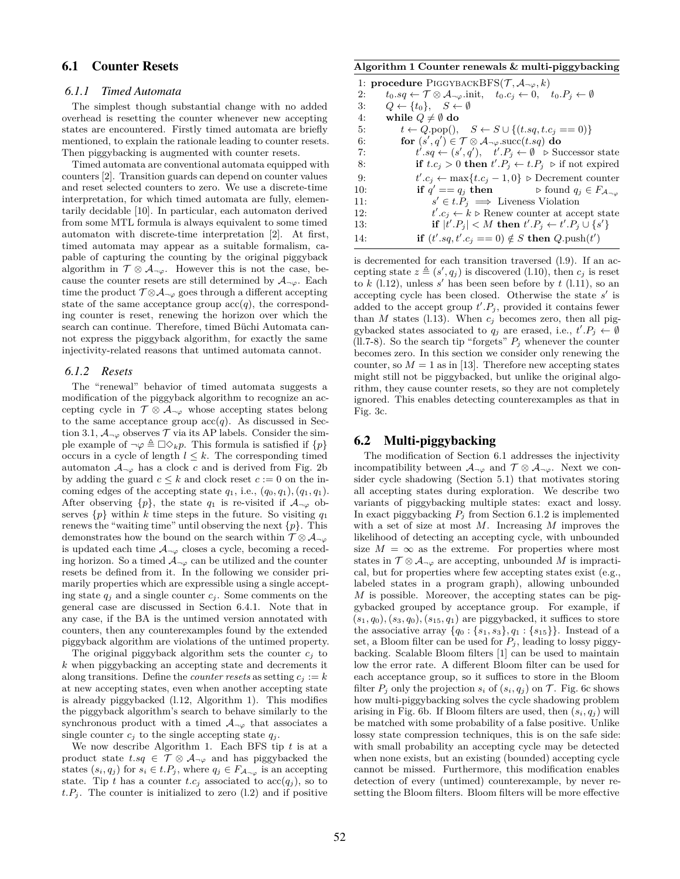## 6.1 Counter Resets

## *6.1.1 Timed Automata*

The simplest though substantial change with no added overhead is resetting the counter whenever new accepting states are encountered. Firstly timed automata are briefly mentioned, to explain the rationale leading to counter resets. Then piggybacking is augmented with counter resets.

Timed automata are conventional automata equipped with counters [2]. Transition guards can depend on counter values and reset selected counters to zero. We use a discrete-time interpretation, for which timed automata are fully, elementarily decidable [10]. In particular, each automaton derived from some MTL formula is always equivalent to some timed automaton with discrete-time interpretation [2]. At first, timed automata may appear as a suitable formalism, capable of capturing the counting by the original piggyback algorithm in  $\mathcal{T} \otimes \mathcal{A}_{\neg \varphi}$ . However this is not the case, because the counter resets are still determined by  $A_{\neg \varphi}$ . Each time the product  $T \otimes A_{\neg \varphi}$  goes through a different accepting state of the same acceptance group  $\operatorname{acc}(q)$ , the corresponding counter is reset, renewing the horizon over which the search can continue. Therefore, timed Büchi Automata cannot express the piggyback algorithm, for exactly the same injectivity-related reasons that untimed automata cannot.

#### *6.1.2 Resets*

The "renewal" behavior of timed automata suggests a modification of the piggyback algorithm to recognize an accepting cycle in  $\mathcal{T} \otimes \mathcal{A}_{\neg \varphi}$  whose accepting states belong to the same acceptance group  $\operatorname{acc}(q)$ . As discussed in Section 3.1,  $A_{\neg \varphi}$  observes  $\mathcal T$  via its AP labels. Consider the simple example of  $\neg \varphi \triangleq \Box \Diamond_k p$ . This formula is satisfied if  $\{p\}$ occurs in a cycle of length  $l \leq k$ . The corresponding timed automaton  $A_{\neg \varphi}$  has a clock *c* and is derived from Fig. 2b by adding the guard  $c \leq k$  and clock reset  $c := 0$  on the incoming edges of the accepting state  $q_1$ , i.e.,  $(q_0, q_1)$ ,  $(q_1, q_1)$ . After observing  $\{p\}$ , the state  $q_1$  is re-visited if  $\mathcal{A}_{\neg \varphi}$  observes  $\{p\}$  within *k* time steps in the future. So visiting  $q_1$ renews the "waiting time" until observing the next *{p}*. This demonstrates how the bound on the search within  $\mathcal{T} \otimes \mathcal{A}_{\neg \varphi}$ is updated each time  $A_{\neg \varphi}$  closes a cycle, becoming a receding horizon. So a timed  $A_{\neg \varphi}$  can be utilized and the counter resets be defined from it. In the following we consider primarily properties which are expressible using a single accepting state  $q_j$  and a single counter  $c_j$ . Some comments on the general case are discussed in Section 6.4.1. Note that in any case, if the BA is the untimed version annotated with counters, then any counterexamples found by the extended piggyback algorithm are violations of the untimed property.

The original piggyback algorithm sets the counter  $c_i$  to *k* when piggybacking an accepting state and decrements it along transitions. Define the *counter resets* as setting  $c_i := k$ at new accepting states, even when another accepting state is already piggybacked (l.12, Algorithm 1). This modifies the piggyback algorithm's search to behave similarly to the synchronous product with a timed  $A_{\neg \varphi}$  that associates a single counter  $c_i$  to the single accepting state  $q_i$ .

We now describe Algorithm 1. Each BFS tip *t* is at a product state  $t.sq \in \mathcal{T} \otimes A_{\neg \varphi}$  and has piggybacked the states  $(s_i, q_j)$  for  $s_i \in t.P_j$ , where  $q_j \in F_{\mathcal{A}_{\neg \varphi}}$  is an accepting state. Tip *t* has a counter *t.c<sub>j</sub>* associated to  $\operatorname{acc}(q_i)$ , so to  $t.P<sub>j</sub>$ . The counter is initialized to zero (l.2) and if positive

#### **Algorithm 1 Counter renewals & multi-piggybacking**

|     | 1: <b>procedure</b> PIGGYBACKBFS $(\mathcal{T}, \mathcal{A}_{\neg \varphi}, k)$                                                   |
|-----|-----------------------------------------------------------------------------------------------------------------------------------|
| 2:  | $t_0.sq \leftarrow \mathcal{T} \otimes \mathcal{A}_{\neg \varphi}$ .init, $t_0.c_j \leftarrow 0$ , $t_0.P_j \leftarrow \emptyset$ |
| 3:  | $Q \leftarrow \{t_0\}, \quad S \leftarrow \emptyset$                                                                              |
| 4:  | while $Q \neq \emptyset$ do                                                                                                       |
| 5:  | $t \leftarrow Q.\text{pop}(), \quad S \leftarrow S \cup \{(t.sq, t.c_i == 0)\}\$                                                  |
| 6:  | for $(s', q') \in \mathcal{T} \otimes A_{\neg \varphi}$ succ $(t, s q)$ do                                                        |
| 7:  | $t'.sq \leftarrow (s', q'), \quad t'.P_i \leftarrow \emptyset \quad \Rightarrow$ Successor state                                  |
| 8:  | if $t.c_i > 0$ then $t'.P_j \leftarrow t.P_j >$ if not expired                                                                    |
| 9:  | $t'.c_i \leftarrow \max\{t.c_i-1,0\}$ > Decrement counter                                                                         |
| 10: | if $q' = q_j$ then $\triangleright$ found $q_j \in F_{\mathcal{A}_{\neg \varnothing}}$                                            |
| 11: | $s' \in t.P_i \implies$ Liveness Violation                                                                                        |
| 12: | $t'.c_i \leftarrow k \triangleright$ Renew counter at accept state                                                                |
| 13: | if $ t'.P_i  < M$ then $t'.P_i \leftarrow t'.P_i \cup \{s'\}$                                                                     |
| 14: | if $(t'.sq, t'.c_j == 0) \notin S$ then $Q$ . push $(t')$                                                                         |

is decremented for each transition traversed (l.9). If an accepting state  $z \triangleq (s', q_j)$  is discovered (l.10), then  $c_j$  is reset to  $k$  (l.12), unless  $s'$  has been seen before by  $t$  (l.11), so an accepting cycle has been closed. Otherwise the state *s ′* is added to the accept group  $t'.P_j$ , provided it contains fewer than *M* states (1.13). When  $c_j$  becomes zero, then all piggybacked states associated to  $q_j$  are erased, i.e.,  $t'.P_j \leftarrow \emptyset$ (ll.7-8). So the search tip "forgets"  $P_j$  whenever the counter becomes zero. In this section we consider only renewing the counter, so  $M = 1$  as in [13]. Therefore new accepting states might still not be piggybacked, but unlike the original algorithm, they cause counter resets, so they are not completely ignored. This enables detecting counterexamples as that in Fig. 3c.

#### 6.2 Multi-piggybacking

The modification of Section 6.1 addresses the injectivity incompatibility between  $\mathcal{A}_{\neg \varphi}$  and  $\mathcal{T} \otimes \mathcal{A}_{\neg \varphi}$ . Next we consider cycle shadowing (Section 5.1) that motivates storing all accepting states during exploration. We describe two variants of piggybacking multiple states: exact and lossy. In exact piggybacking  $P_i$  from Section 6.1.2 is implemented with a set of size at most *M*. Increasing *M* improves the likelihood of detecting an accepting cycle, with unbounded size  $M = \infty$  as the extreme. For properties where most states in  $\mathcal{T} \otimes \mathcal{A}_{\neg \varphi}$  are accepting, unbounded *M* is impractical, but for properties where few accepting states exist (e.g., labeled states in a program graph), allowing unbounded *M* is possible. Moreover, the accepting states can be piggybacked grouped by acceptance group. For example, if  $(s_1, q_0)$ ,  $(s_3, q_0)$ ,  $(s_{15}, q_1)$  are piggybacked, it suffices to store the associative array  $\{q_0: \{s_1, s_3\}, q_1: \{s_{15}\}\}\.$  Instead of a set, a Bloom filter can be used for  $P_i$ , leading to lossy piggybacking. Scalable Bloom filters [1] can be used to maintain low the error rate. A different Bloom filter can be used for each acceptance group, so it suffices to store in the Bloom filter  $P_i$  only the projection  $s_i$  of  $(s_i, q_j)$  on  $\mathcal T$ . Fig. 6c shows how multi-piggybacking solves the cycle shadowing problem arising in Fig. 6b. If Bloom filters are used, then  $(s_i, q_j)$  will be matched with some probability of a false positive. Unlike lossy state compression techniques, this is on the safe side: with small probability an accepting cycle may be detected when none exists, but an existing (bounded) accepting cycle cannot be missed. Furthermore, this modification enables detection of every (untimed) counterexample, by never resetting the Bloom filters. Bloom filters will be more effective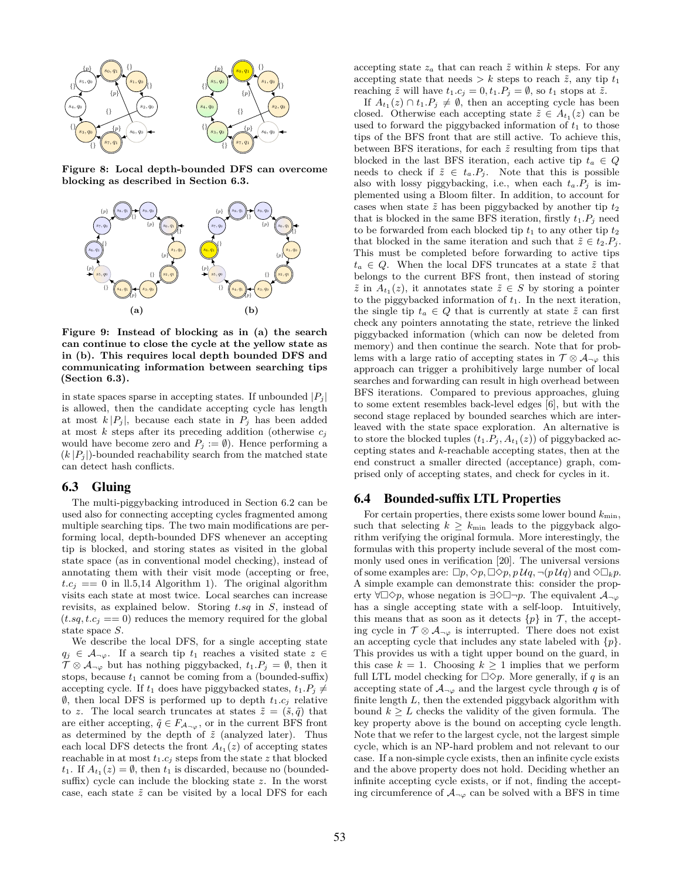

**Figure 8: Local depth-bounded DFS can overcome blocking as described in Section 6.3.**



**Figure 9: Instead of blocking as in (a) the search can continue to close the cycle at the yellow state as in (b). This requires local depth bounded DFS and communicating information between searching tips (Section 6.3).**

in state spaces sparse in accepting states. If unbounded  $|P_j|$ is allowed, then the candidate accepting cycle has length at most  $k |P_j|$ , because each state in  $P_j$  has been added at most *k* steps after its preceding addition (otherwise *c<sup>j</sup>* would have become zero and  $P_j := \emptyset$ . Hence performing a  $(k |P_i|)$ -bounded reachability search from the matched state can detect hash conflicts.

# 6.3 Gluing

The multi-piggybacking introduced in Section 6.2 can be used also for connecting accepting cycles fragmented among multiple searching tips. The two main modifications are performing local, depth-bounded DFS whenever an accepting tip is blocked, and storing states as visited in the global state space (as in conventional model checking), instead of annotating them with their visit mode (accepting or free,  $t.c_j == 0$  in ll.5,14 Algorithm 1). The original algorithm visits each state at most twice. Local searches can increase revisits, as explained below. Storing *t.sq* in *S*, instead of  $(t.\mathit{sq}, t.c_i == 0)$  reduces the memory required for the global state space *S*.

We describe the local DFS, for a single accepting state  $q_j \in \mathcal{A}_{\neg \varphi}$ . If a search tip  $t_1$  reaches a visited state  $z \in$  $\mathcal{T} \otimes \mathcal{A}_{\neg \varphi}$  but has nothing piggybacked,  $t_1 \cdot P_j = \emptyset$ , then it stops, because  $t_1$  cannot be coming from a (bounded-suffix) accepting cycle. If  $t_1$  does have piggybacked states,  $t_1 \cdot P_j \neq$ *Ø, then local DFS is performed up to depth*  $t_1.c_j$  *relative* to *z*. The local search truncates at states  $\tilde{z} = (\tilde{s}, \tilde{q})$  that are either accepting,  $\tilde{q} \in F_{\mathcal{A}_{\neg \varphi}}$ , or in the current BFS front as determined by the depth of  $\tilde{z}$  (analyzed later). Thus each local DFS detects the front  $A_{t_1}(z)$  of accepting states reachable in at most  $t_1.c_j$  steps from the state  $z$  that blocked  $t_1$ . If  $A_{t_1}(z) = \emptyset$ , then  $t_1$  is discarded, because no (boundedsuffix) cycle can include the blocking state *z*. In the worst case, each state  $\tilde{z}$  can be visited by a local DFS for each

accepting state  $z_a$  that can reach  $\tilde{z}$  within  $k$  steps. For any accepting state that needs  $> k$  steps to reach  $\tilde{z}$ , any tip  $t_1$ reaching  $\tilde{z}$  will have  $t_1.c_j = 0, t_1.P_j = \emptyset$ , so  $t_1$  stops at  $\tilde{z}$ .

If  $A_{t_1}(z) \cap t_1 \cdot P_j \neq \emptyset$ , then an accepting cycle has been closed. Otherwise each accepting state  $\tilde{z} \in A_{t_1}(z)$  can be used to forward the piggybacked information of  $t_1$  to those tips of the BFS front that are still active. To achieve this, between BFS iterations, for each  $\tilde{z}$  resulting from tips that blocked in the last BFS iteration, each active tip  $t_a \in Q$ needs to check if  $\tilde{z} \in t_a.P_i$ . Note that this is possible also with lossy piggybacking, i.e., when each  $t_a.P_j$  is implemented using a Bloom filter. In addition, to account for cases when state  $\tilde{z}$  has been piggybacked by another tip  $t_2$ that is blocked in the same BFS iteration, firstly  $t_1.P_i$  need to be forwarded from each blocked tip  $t_1$  to any other tip  $t_2$ that blocked in the same iteration and such that  $\tilde{z} \in t_2.P_j$ . This must be completed before forwarding to active tips  $t_a \in Q$ . When the local DFS truncates at a state  $\tilde{z}$  that belongs to the current BFS front, then instead of storing  $\tilde{z}$  in  $A_{t_1}(z)$ , it annotates state  $\tilde{z} \in S$  by storing a pointer to the piggybacked information of  $t_1$ . In the next iteration, the single tip  $t_a \in Q$  that is currently at state  $\tilde{z}$  can first check any pointers annotating the state, retrieve the linked piggybacked information (which can now be deleted from memory) and then continue the search. Note that for problems with a large ratio of accepting states in  $\mathcal{T} \otimes \mathcal{A}_{\neg \varphi}$  this approach can trigger a prohibitively large number of local searches and forwarding can result in high overhead between BFS iterations. Compared to previous approaches, gluing to some extent resembles back-level edges [6], but with the second stage replaced by bounded searches which are interleaved with the state space exploration. An alternative is to store the blocked tuples  $(t_1.P_j, A_{t_1}(z))$  of piggybacked accepting states and *k*-reachable accepting states, then at the end construct a smaller directed (acceptance) graph, comprised only of accepting states, and check for cycles in it.

## 6.4 Bounded-suffix LTL Properties

For certain properties, there exists some lower bound  $k_{\text{min}}$ , such that selecting  $k \geq k_{\text{min}}$  leads to the piggyback algorithm verifying the original formula. More interestingly, the formulas with this property include several of the most commonly used ones in verification [20]. The universal versions of some examples are:  $\Box p, \Diamond p, \Box \Diamond p, p \mathcal{U} q, \neg (p \mathcal{U} q)$  and  $\Diamond \Box_k p$ . A simple example can demonstrate this: consider the property *∀*□*✸p*, whose negation is *∃✸*□*¬p*. The equivalent *A¬<sup>φ</sup>* has a single accepting state with a self-loop. Intuitively, this means that as soon as it detects  $\{p\}$  in  $\mathcal{T}$ , the accepting cycle in  $\mathcal{T} \otimes \mathcal{A}_{\neg \varphi}$  is interrupted. There does not exist an accepting cycle that includes any state labeled with *{p}*. This provides us with a tight upper bound on the guard, in this case  $k = 1$ . Choosing  $k \geq 1$  implies that we perform full LTL model checking for  $\square \Diamond p$ . More generally, if *q* is an accepting state of  $A_{\neg \varphi}$  and the largest cycle through *q* is of finite length *L*, then the extended piggyback algorithm with bound  $k \geq L$  checks the validity of the given formula. The key property above is the bound on accepting cycle length. Note that we refer to the largest cycle, not the largest simple cycle, which is an NP-hard problem and not relevant to our case. If a non-simple cycle exists, then an infinite cycle exists and the above property does not hold. Deciding whether an infinite accepting cycle exists, or if not, finding the accepting circumference of  $A_{\neg \varphi}$  can be solved with a BFS in time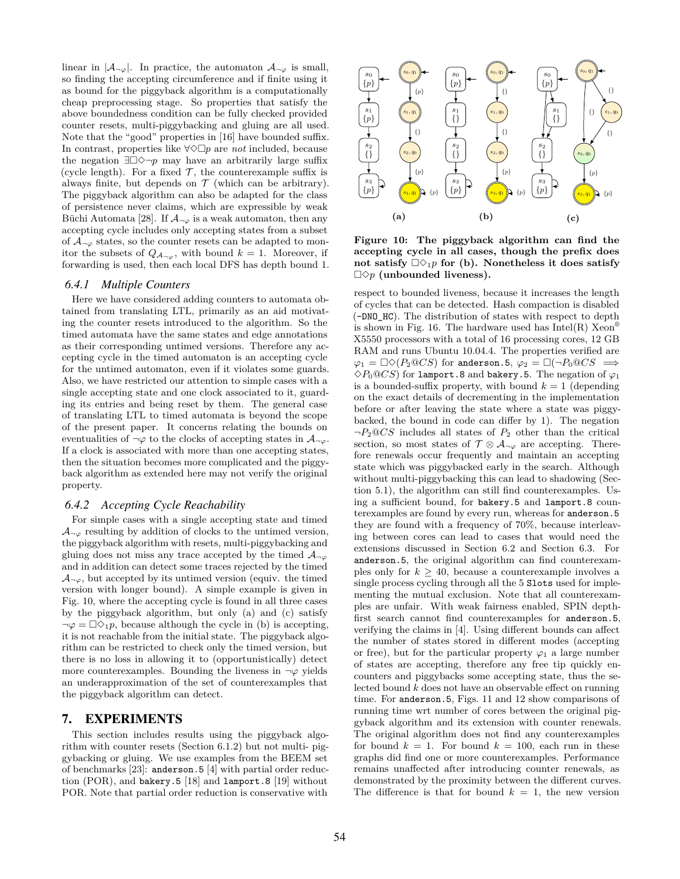linear in  $|A_{\neg \varphi}|$ . In practice, the automaton  $A_{\neg \varphi}$  is small, so finding the accepting circumference and if finite using it as bound for the piggyback algorithm is a computationally cheap preprocessing stage. So properties that satisfy the above boundedness condition can be fully checked provided counter resets, multi-piggybacking and gluing are all used. Note that the "good" properties in [16] have bounded suffix. In contrast, properties like *∀✸*□*p* are *not* included, because the negation *∃*□*✸¬p* may have an arbitrarily large suffix (cycle length). For a fixed  $\mathcal{T}$ , the counterexample suffix is always finite, but depends on  $\mathcal T$  (which can be arbitrary). The piggyback algorithm can also be adapted for the class of persistence never claims, which are expressible by weak Büchi Automata [28]. If  $\mathcal{A}_{\neg \varphi}$  is a weak automaton, then any accepting cycle includes only accepting states from a subset of  $A_{\neg \varphi}$  states, so the counter resets can be adapted to monitor the subsets of  $Q_{A_{\neg \varphi}}$ , with bound  $k = 1$ . Moreover, if forwarding is used, then each local DFS has depth bound 1.

#### *6.4.1 Multiple Counters*

Here we have considered adding counters to automata obtained from translating LTL, primarily as an aid motivating the counter resets introduced to the algorithm. So the timed automata have the same states and edge annotations as their corresponding untimed versions. Therefore any accepting cycle in the timed automaton is an accepting cycle for the untimed automaton, even if it violates some guards. Also, we have restricted our attention to simple cases with a single accepting state and one clock associated to it, guarding its entries and being reset by them. The general case of translating LTL to timed automata is beyond the scope of the present paper. It concerns relating the bounds on eventualities of  $\neg \varphi$  to the clocks of accepting states in  $\mathcal{A}_{\neg \varphi}$ . If a clock is associated with more than one accepting states, then the situation becomes more complicated and the piggyback algorithm as extended here may not verify the original property.

#### *6.4.2 Accepting Cycle Reachability*

For simple cases with a single accepting state and timed  $A_{\neg \varphi}$  resulting by addition of clocks to the untimed version, the piggyback algorithm with resets, multi-piggybacking and gluing does not miss any trace accepted by the timed  $A_{\neg \varphi}$ and in addition can detect some traces rejected by the timed  $\mathcal{A}_{\neg \varphi}$ , but accepted by its untimed version (equiv. the timed version with longer bound). A simple example is given in Fig. 10, where the accepting cycle is found in all three cases by the piggyback algorithm, but only (a) and (c) satisfy  $\neg \varphi = \Box \Diamond_1 p$ , because although the cycle in (b) is accepting, it is not reachable from the initial state. The piggyback algorithm can be restricted to check only the timed version, but there is no loss in allowing it to (opportunistically) detect more counterexamples. Bounding the liveness in  $\neg \varphi$  yields an underapproximation of the set of counterexamples that the piggyback algorithm can detect.

#### 7. EXPERIMENTS

This section includes results using the piggyback algorithm with counter resets (Section 6.1.2) but not multi- piggybacking or gluing. We use examples from the BEEM set of benchmarks [23]: anderson.5 [4] with partial order reduction (POR), and bakery.5 [18] and lamport.8 [19] without POR. Note that partial order reduction is conservative with



**Figure 10: The piggyback algorithm can find the accepting cycle in all cases, though the prefix does** not satisfy  $\Box \Diamond_1 p$  for (b). Nonetheless it does satisfy □*✸p* **(unbounded liveness).**

respect to bounded liveness, because it increases the length of cycles that can be detected. Hash compaction is disabled (-DNO\_HC). The distribution of states with respect to depth is shown in Fig. 16. The hardware used has  $Intel(R)$  Xeon<sup>®</sup> X5550 processors with a total of 16 processing cores, 12 GB RAM and runs Ubuntu 10.04.4. The properties verified are  $\varphi_1 = \Box \Diamond (P_2 \Box C S)$  for anderson.5,  $\varphi_2 = \Box (\neg P_0 \Box C S \implies$  $\Diamond P_0 @ CS$  for lamport.8 and bakery.5. The negation of  $\varphi_1$ is a bounded-suffix property, with bound  $k = 1$  (depending on the exact details of decrementing in the implementation before or after leaving the state where a state was piggybacked, the bound in code can differ by 1). The negation *¬P*2@*CS* includes all states of *P*<sup>2</sup> other than the critical section, so most states of  $\mathcal{T} \otimes \mathcal{A}_{\neg \varphi}$  are accepting. Therefore renewals occur frequently and maintain an accepting state which was piggybacked early in the search. Although without multi-piggybacking this can lead to shadowing (Section 5.1), the algorithm can still find counterexamples. Using a sufficient bound, for bakery.5 and lamport.8 counterexamples are found by every run, whereas for anderson.5 they are found with a frequency of 70%, because interleaving between cores can lead to cases that would need the extensions discussed in Section 6.2 and Section 6.3. For anderson.5, the original algorithm can find counterexamples only for  $k \geq 40$ , because a counterexample involves a single process cycling through all the 5 Slots used for implementing the mutual exclusion. Note that all counterexamples are unfair. With weak fairness enabled, SPIN depthfirst search cannot find counterexamples for anderson.5, verifying the claims in [4]. Using different bounds can affect the number of states stored in different modes (accepting or free), but for the particular property  $\varphi_1$  a large number of states are accepting, therefore any free tip quickly encounters and piggybacks some accepting state, thus the selected bound *k* does not have an observable effect on running time. For anderson.5, Figs. 11 and 12 show comparisons of running time wrt number of cores between the original piggyback algorithm and its extension with counter renewals. The original algorithm does not find any counterexamples for bound  $k = 1$ . For bound  $k = 100$ , each run in these graphs did find one or more counterexamples. Performance remains unaffected after introducing counter renewals, as demonstrated by the proximity between the different curves. The difference is that for bound  $k = 1$ , the new version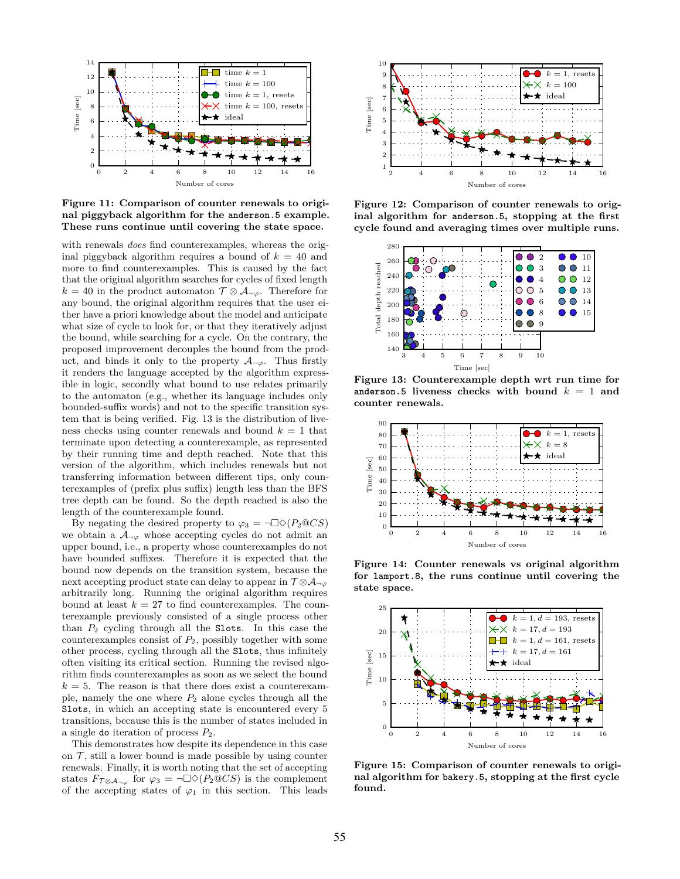

**Figure 11: Comparison of counter renewals to original piggyback algorithm for the anderson.5 example. These runs continue until covering the state space.**

with renewals *does* find counterexamples, whereas the original piggyback algorithm requires a bound of  $k = 40$  and more to find counterexamples. This is caused by the fact that the original algorithm searches for cycles of fixed length  $k = 40$  in the product automaton  $\mathcal{T} \otimes \mathcal{A}_{\neg \varphi}$ . Therefore for any bound, the original algorithm requires that the user either have a priori knowledge about the model and anticipate what size of cycle to look for, or that they iteratively adjust the bound, while searching for a cycle. On the contrary, the proposed improvement decouples the bound from the product, and binds it only to the property  $A_{\neg \varphi}$ . Thus firstly it renders the language accepted by the algorithm expressible in logic, secondly what bound to use relates primarily to the automaton (e.g., whether its language includes only bounded-suffix words) and not to the specific transition system that is being verified. Fig. 13 is the distribution of liveness checks using counter renewals and bound  $k = 1$  that terminate upon detecting a counterexample, as represented by their running time and depth reached. Note that this version of the algorithm, which includes renewals but not transferring information between different tips, only counterexamples of (prefix plus suffix) length less than the BFS tree depth can be found. So the depth reached is also the length of the counterexample found.

By negating the desired property to  $\varphi_3 = \neg \Box \Diamond (P_2 \mathbb{Q} C S)$ we obtain a  $A_{\neg \varphi}$  whose accepting cycles do not admit an upper bound, i.e., a property whose counterexamples do not have bounded suffixes. Therefore it is expected that the bound now depends on the transition system, because the next accepting product state can delay to appear in  $\mathcal{T} \otimes \mathcal{A}_{\neg \varphi}$ arbitrarily long. Running the original algorithm requires bound at least  $k = 27$  to find counterexamples. The counterexample previously consisted of a single process other than *P*<sup>2</sup> cycling through all the Slots. In this case the counterexamples consist of *P*2, possibly together with some other process, cycling through all the Slots, thus infinitely often visiting its critical section. Running the revised algorithm finds counterexamples as soon as we select the bound  $k = 5$ . The reason is that there does exist a counterexample, namely the one where  $P_2$  alone cycles through all the Slots, in which an accepting state is encountered every 5 transitions, because this is the number of states included in a single do iteration of process *P*2.

This demonstrates how despite its dependence in this case on  $\mathcal T$ , still a lower bound is made possible by using counter renewals. Finally, it is worth noting that the set of accepting states  $F_{\mathcal{T} \otimes A_{\neg \varphi}}$  for  $\varphi_3 = \neg \Box \Diamond (P_2 \mathbb{Q} CS)$  is the complement of the accepting states of  $\varphi_1$  in this section. This leads



**Figure 12: Comparison of counter renewals to original algorithm for anderson.5, stopping at the first cycle found and averaging times over multiple runs.**



**Figure 13: Counterexample depth wrt run time for anderson.5 liveness checks with bound** *k* = 1 **and counter renewals.**



**Figure 14: Counter renewals vs original algorithm for lamport.8, the runs continue until covering the state space.**



**Figure 15: Comparison of counter renewals to original algorithm for bakery.5, stopping at the first cycle found.**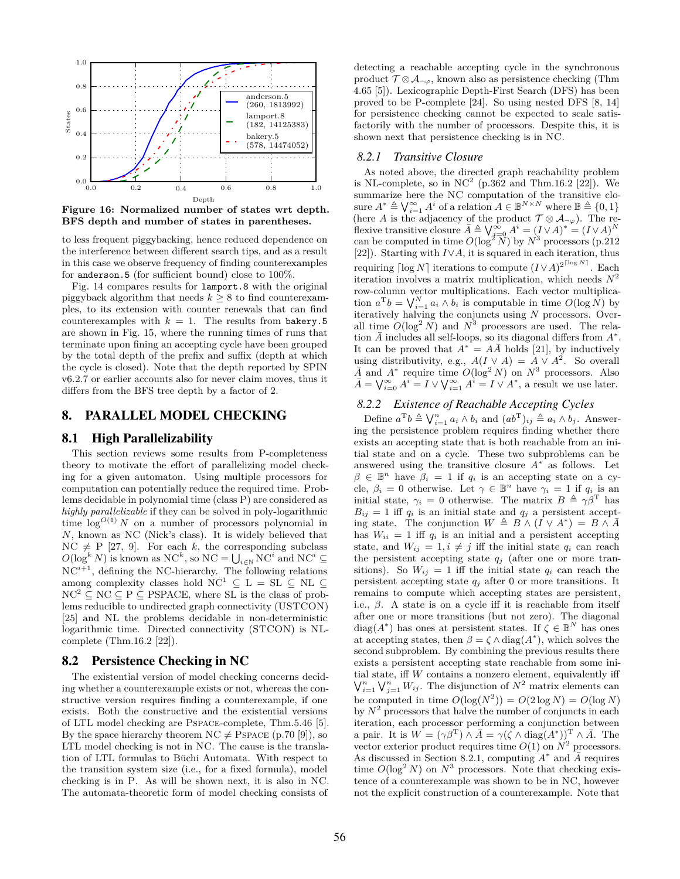

**Figure 16: Normalized number of states wrt depth. BFS depth and number of states in parentheses.**

to less frequent piggybacking, hence reduced dependence on the interference between different search tips, and as a result in this case we observe frequency of finding counterexamples for anderson.5 (for sufficient bound) close to 100%.

Fig. 14 compares results for lamport.8 with the original piggyback algorithm that needs  $k \geq 8$  to find counterexamples, to its extension with counter renewals that can find counterexamples with  $k = 1$ . The results from bakery.5 are shown in Fig. 15, where the running times of runs that terminate upon fining an accepting cycle have been grouped by the total depth of the prefix and suffix (depth at which the cycle is closed). Note that the depth reported by SPIN v6.2.7 or earlier accounts also for never claim moves, thus it differs from the BFS tree depth by a factor of 2.

## 8. PARALLEL MODEL CHECKING

#### 8.1 High Parallelizability

This section reviews some results from P-completeness theory to motivate the effort of parallelizing model checking for a given automaton. Using multiple processors for computation can potentially reduce the required time. Problems decidable in polynomial time (class P) are considered as *highly parallelizable* if they can be solved in poly-logarithmic time  $\log^{O(1)} N$  on a number of processors polynomial in *N*, known as NC (Nick's class). It is widely believed that  $NC \neq P$  [27, 9]. For each *k*, the corresponding subclass  $O(\log^k N)$  is known as  $NC^k$ , so  $NC = \bigcup_{i \in \mathbb{N}} NC^i$  and  $NC^i \subseteq$  $\mathrm{NC}^{i+1},$  defining the NC-hierarchy. The following relations among complexity classes hold  $NC^1 \subseteq L = SL \subseteq NL \subseteq$  $NC^2 \subset NC \subset P \subset PSPACE$ , where SL is the class of problems reducible to undirected graph connectivity (USTCON) [25] and NL the problems decidable in non-deterministic logarithmic time. Directed connectivity (STCON) is NLcomplete (Thm.16.2 [22]).

#### 8.2 Persistence Checking in NC

The existential version of model checking concerns deciding whether a counterexample exists or not, whereas the constructive version requires finding a counterexample, if one exists. Both the constructive and the existential versions of LTL model checking are Pspace-complete, Thm.5.46 [5]. By the space hierarchy theorem  $NC \neq PSPACE$  (p.70 [9]), so LTL model checking is not in NC. The cause is the translation of LTL formulas to Büchi Automata. With respect to the transition system size (i.e., for a fixed formula), model checking is in P. As will be shown next, it is also in NC. The automata-theoretic form of model checking consists of detecting a reachable accepting cycle in the synchronous product  $\mathcal{T} \otimes \mathcal{A}_{\neg \varphi}$ , known also as persistence checking (Thm 4.65 [5]). Lexicographic Depth-First Search (DFS) has been proved to be P-complete [24]. So using nested DFS [8, 14] for persistence checking cannot be expected to scale satisfactorily with the number of processors. Despite this, it is shown next that persistence checking is in NC.

#### *8.2.1 Transitive Closure*

As noted above, the directed graph reachability problem is NL-complete, so in  $NC^2$  (p.362 and Thm.16.2 [22]). We summarize here the NC computation of the transitive closure  $A^* \triangleq \bigvee_{i=1}^{\infty} A^i$  of a relation  $A \in \mathbb{B}^{N \times N}$  where  $\mathbb{B} \triangleq \{0, 1\}$ (here *A* is the adjacency of the product  $\mathcal{T} \otimes \mathcal{A}_{\neg \varphi}$ ). The reflexive transitive closure  $\bar{A} \triangleq \bigvee_{i=0}^{\infty} A^{i} = (I \vee A)^{*} = (I \vee A)^{N}$ can be computed in time  $O(\log^2 N)$  by  $N^3$  processors (p.212) [22]). Starting with *I∨A*, it is squared in each iteration, thus requiring  $\lceil \log N \rceil$  iterations to compute  $(I \vee A)^{2^{\lceil \log N \rceil}}$ . Each iteration involves a matrix multiplication, which needs *N* 2 row-column vector multiplications. Each vector multiplication  $a^{\mathrm{T}}b = \bigvee_{i=1}^{N} a_i \wedge b_i$  is computable in time  $O(\log N)$  by iteratively halving the conjuncts using *N* processors. Overall time  $O(\log^2 N)$  and  $N^3$  processors are used. The relation  $\bar{A}$  includes all self-loops, so its diagonal differs from  $A^*$ . It can be proved that  $A^* = A\overline{A}$  holds [21], by inductively using distributivity, e.g.,  $A(I \vee A) = A \vee A^2$ . So overall  $\overline{A}$  and  $A^*$  require time  $O(log^2 N)$  on  $N^3$  processors. Also  $\bar{A} = \bigvee_{i=0}^{\infty} A^i = I \vee \bigvee_{i=1}^{\infty} A^i = I \vee A^*$ , a result we use later.

# *8.2.2 Existence of Reachable Accepting Cycles*

Define  $a^{\mathrm{T}}b \triangleq \bigvee_{i=1}^{n} a_i \wedge b_i$  and  $(ab^{\mathrm{T}})_{ij} \triangleq a_i \wedge b_j$ . Answering the persistence problem requires finding whether there exists an accepting state that is both reachable from an initial state and on a cycle. These two subproblems can be answered using the transitive closure *A ∗* as follows. Let  $\beta \in \mathbb{B}^n$  have  $\beta_i = 1$  if  $q_i$  is an accepting state on a cycle,  $\beta_i = 0$  otherwise. Let  $\gamma \in \mathbb{B}^n$  have  $\gamma_i = 1$  if  $q_i$  is an initial state,  $\gamma_i = 0$  otherwise. The matrix  $B \triangleq \gamma \beta^{\mathrm{T}}$  has  $B_{ij} = 1$  iff  $q_i$  is an initial state and  $q_j$  a persistent accepting state. The conjunction  $W \triangleq B \wedge (I \vee A^*) = B \wedge \overline{A}$ has  $W_{ii} = 1$  iff  $q_i$  is an initial and a persistent accepting state, and  $W_{ij} = 1, i \neq j$  iff the initial state  $q_i$  can reach the persistent accepting state *q<sup>j</sup>* (after one or more transitions). So  $W_{ij} = 1$  iff the initial state  $q_i$  can reach the persistent accepting state  $q_j$  after 0 or more transitions. It remains to compute which accepting states are persistent, i.e., *β*. A state is on a cycle iff it is reachable from itself after one or more transitions (but not zero). The diagonal diag( $A^*$ ) has ones at persistent states. If  $\zeta \in \mathbb{B}^N$  has ones at accepting states, then  $\beta = \zeta \wedge diag(A^*)$ , which solves the second subproblem. By combining the previous results there exists a persistent accepting state reachable from some initial state, iff *W* contains a nonzero element, equivalently iff  $\bigvee_{i=1}^{n} \bigvee_{j=1}^{n} W_{ij}$ . The disjunction of  $N^2$  matrix elements can be computed in time  $O(\log(N^2)) = O(2 \log N) = O(\log N)$ by  $N^2$  processors that halve the number of conjuncts in each iteration, each processor performing a conjunction between a pair. It is  $W = (\gamma \beta^{\mathrm{T}}) \wedge \overline{A} = \gamma(\zeta \wedge \text{diag}(A^*))^{\mathrm{T}} \wedge \overline{A}$ . The vector exterior product requires time  $O(1)$  on  $N^2$  processors. As discussed in Section 8.2.1, computing  $A^*$  and  $\overline{A}$  requires time  $O(\log^2 N)$  on  $N^3$  processors. Note that checking existence of a counterexample was shown to be in NC, however not the explicit construction of a counterexample. Note that